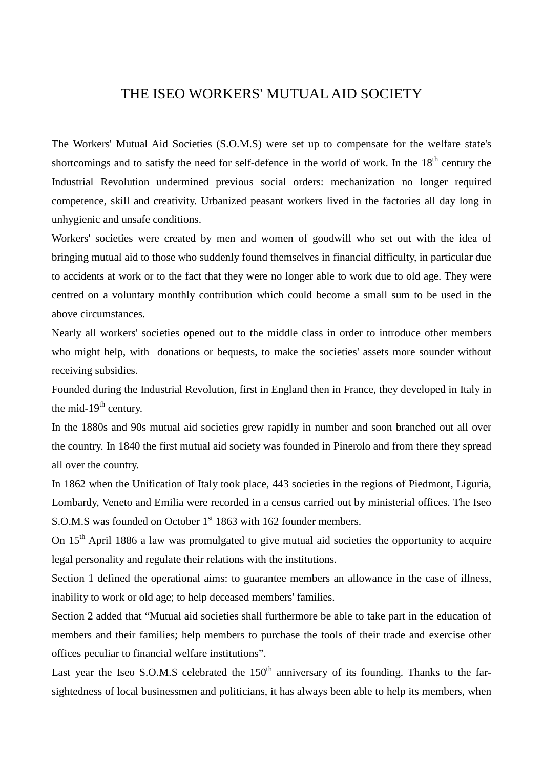## THE ISEO WORKERS' MUTUAL AID SOCIETY

The Workers' Mutual Aid Societies (S.O.M.S) were set up to compensate for the welfare state's shortcomings and to satisfy the need for self-defence in the world of work. In the  $18<sup>th</sup>$  century the Industrial Revolution undermined previous social orders: mechanization no longer required competence, skill and creativity. Urbanized peasant workers lived in the factories all day long in unhygienic and unsafe conditions.

Workers' societies were created by men and women of goodwill who set out with the idea of bringing mutual aid to those who suddenly found themselves in financial difficulty, in particular due to accidents at work or to the fact that they were no longer able to work due to old age. They were centred on a voluntary monthly contribution which could become a small sum to be used in the above circumstances.

Nearly all workers' societies opened out to the middle class in order to introduce other members who might help, with donations or bequests, to make the societies' assets more sounder without receiving subsidies.

Founded during the Industrial Revolution, first in England then in France, they developed in Italy in the mid-19 $th$  century.

In the 1880s and 90s mutual aid societies grew rapidly in number and soon branched out all over the country. In 1840 the first mutual aid society was founded in Pinerolo and from there they spread all over the country.

In 1862 when the Unification of Italy took place, 443 societies in the regions of Piedmont, Liguria, Lombardy, Veneto and Emilia were recorded in a census carried out by ministerial offices. The Iseo S.O.M.S was founded on October 1<sup>st</sup> 1863 with 162 founder members.

On 15<sup>th</sup> April 1886 a law was promulgated to give mutual aid societies the opportunity to acquire legal personality and regulate their relations with the institutions.

Section 1 defined the operational aims: to guarantee members an allowance in the case of illness, inability to work or old age; to help deceased members' families.

Section 2 added that "Mutual aid societies shall furthermore be able to take part in the education of members and their families; help members to purchase the tools of their trade and exercise other offices peculiar to financial welfare institutions".

Last year the Iseo S.O.M.S celebrated the  $150<sup>th</sup>$  anniversary of its founding. Thanks to the farsightedness of local businessmen and politicians, it has always been able to help its members, when